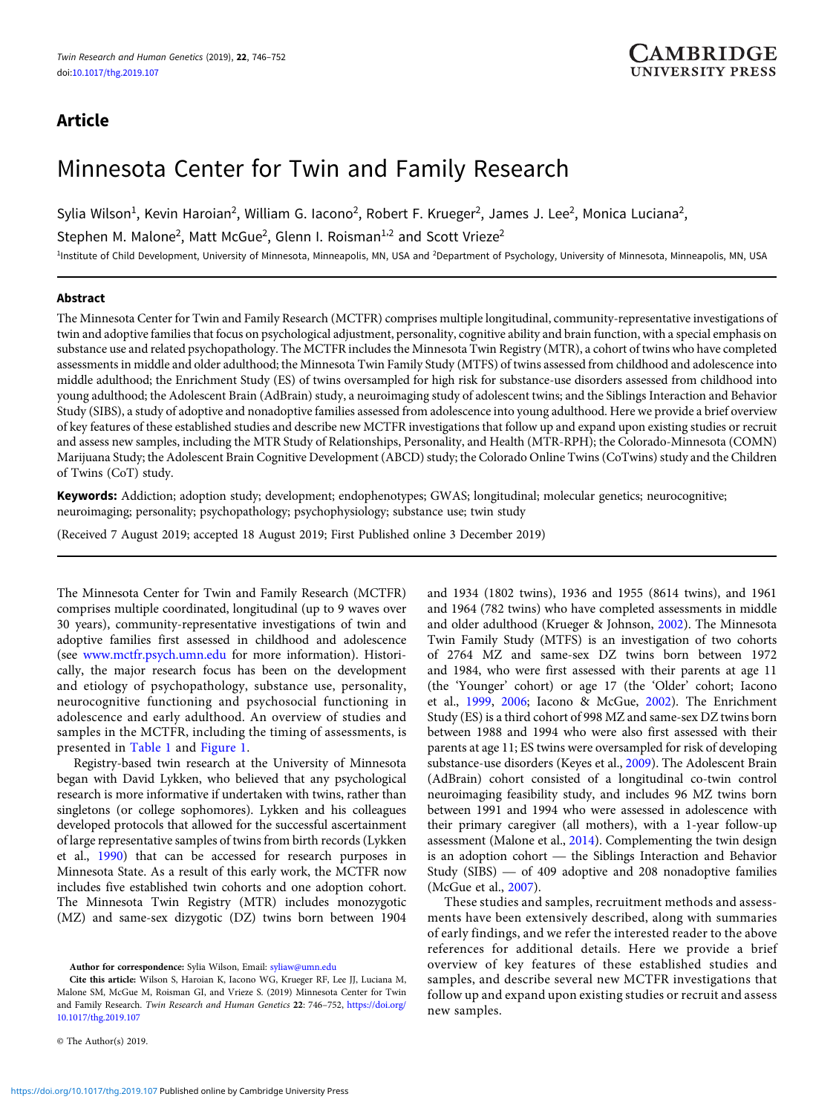# Article

# Minnesota Center for Twin and Family Research

Sylia Wilson<sup>1</sup>, Kevin Haroian<sup>2</sup>, William G. Iacono<sup>2</sup>, Robert F. Krueger<sup>2</sup>, James J. Lee<sup>2</sup>, Monica Luciana<sup>2</sup>, Stephen M. Malone<sup>2</sup>, Matt McGue<sup>2</sup>, Glenn I. Roisman<sup>1,2</sup> and Scott Vrieze<sup>2</sup> <sup>1</sup>Institute of Child Development, University of Minnesota, Minneapolis, MN, USA and <sup>2</sup>Department of Psychology, University of Minnesota, Minneapolis, MN, USA

#### Abstract

The Minnesota Center for Twin and Family Research (MCTFR) comprises multiple longitudinal, community-representative investigations of twin and adoptive families that focus on psychological adjustment, personality, cognitive ability and brain function, with a special emphasis on substance use and related psychopathology. The MCTFR includes the Minnesota Twin Registry (MTR), a cohort of twins who have completed assessments in middle and older adulthood; the Minnesota Twin Family Study (MTFS) of twins assessed from childhood and adolescence into middle adulthood; the Enrichment Study (ES) of twins oversampled for high risk for substance-use disorders assessed from childhood into young adulthood; the Adolescent Brain (AdBrain) study, a neuroimaging study of adolescent twins; and the Siblings Interaction and Behavior Study (SIBS), a study of adoptive and nonadoptive families assessed from adolescence into young adulthood. Here we provide a brief overview of key features of these established studies and describe new MCTFR investigations that follow up and expand upon existing studies or recruit and assess new samples, including the MTR Study of Relationships, Personality, and Health (MTR-RPH); the Colorado-Minnesota (COMN) Marijuana Study; the Adolescent Brain Cognitive Development (ABCD) study; the Colorado Online Twins (CoTwins) study and the Children of Twins (CoT) study.

Keywords: Addiction; adoption study; development; endophenotypes; GWAS; longitudinal; molecular genetics; neurocognitive; neuroimaging; personality; psychopathology; psychophysiology; substance use; twin study

(Received 7 August 2019; accepted 18 August 2019; First Published online 3 December 2019)

The Minnesota Center for Twin and Family Research (MCTFR) comprises multiple coordinated, longitudinal (up to 9 waves over 30 years), community-representative investigations of twin and adoptive families first assessed in childhood and adolescence (see [www.mctfr.psych.umn.edu](http://www.mctfr.psych.umn.edu) for more information). Historically, the major research focus has been on the development and etiology of psychopathology, substance use, personality, neurocognitive functioning and psychosocial functioning in adolescence and early adulthood. An overview of studies and samples in the MCTFR, including the timing of assessments, is presented in [Table 1](#page-1-0) and [Figure 1.](#page-1-0)

Registry-based twin research at the University of Minnesota began with David Lykken, who believed that any psychological research is more informative if undertaken with twins, rather than singletons (or college sophomores). Lykken and his colleagues developed protocols that allowed for the successful ascertainment of large representative samples of twins from birth records (Lykken et al., [1990\)](#page-5-0) that can be accessed for research purposes in Minnesota State. As a result of this early work, the MCTFR now includes five established twin cohorts and one adoption cohort. The Minnesota Twin Registry (MTR) includes monozygotic (MZ) and same-sex dizygotic (DZ) twins born between 1904

Author for correspondence: Sylia Wilson, Email: [syliaw@umn.edu](mailto:syliaw@umn.edu)

© The Author(s) 2019.

and 1934 (1802 twins), 1936 and 1955 (8614 twins), and 1961 and 1964 (782 twins) who have completed assessments in middle and older adulthood (Krueger & Johnson, [2002\)](#page-5-0). The Minnesota Twin Family Study (MTFS) is an investigation of two cohorts of 2764 MZ and same-sex DZ twins born between 1972 and 1984, who were first assessed with their parents at age 11 (the 'Younger' cohort) or age 17 (the 'Older' cohort; Iacono et al., [1999](#page-5-0), [2006](#page-5-0); Iacono & McGue, [2002](#page-5-0)). The Enrichment Study (ES) is a third cohort of 998 MZ and same-sex DZ twins born between 1988 and 1994 who were also first assessed with their parents at age 11; ES twins were oversampled for risk of developing substance-use disorders (Keyes et al., [2009\)](#page-5-0). The Adolescent Brain (AdBrain) cohort consisted of a longitudinal co-twin control neuroimaging feasibility study, and includes 96 MZ twins born between 1991 and 1994 who were assessed in adolescence with their primary caregiver (all mothers), with a 1-year follow-up assessment (Malone et al., [2014\)](#page-5-0). Complementing the twin design ifeuromaging reasionity study, and includes 96 MZ twins born<br>between 1991 and 1994 who were assessed in adolescence with<br>their primary caregiver (all mothers), with a 1-year follow-up<br>assessment (Malone et al., 2014). Comp between 1991 and 1994 who were assessed in adorescence with<br>their primary caregiver (all mothers), with a 1-year follow-up<br>assessment (Malone et al., 2014). Complementing the twin design<br>is an adoption cohort — the Sibling (McGue et al., [2007](#page-5-0)).

These studies and samples, recruitment methods and assessments have been extensively described, along with summaries of early findings, and we refer the interested reader to the above references for additional details. Here we provide a brief overview of key features of these established studies and samples, and describe several new MCTFR investigations that follow up and expand upon existing studies or recruit and assess new samples.

Cite this article: Wilson S, Haroian K, Iacono WG, Krueger RF, Lee JJ, Luciana M, Malone SM, McGue M, Roisman GI, and Vrieze S. (2019) Minnesota Center for Twin and Family Research. Twin Research and Human Genetics 22: 746–752, [https://doi.org/](https://doi.org/10.1017/thg.2019.107) [10.1017/thg.2019.107](https://doi.org/10.1017/thg.2019.107)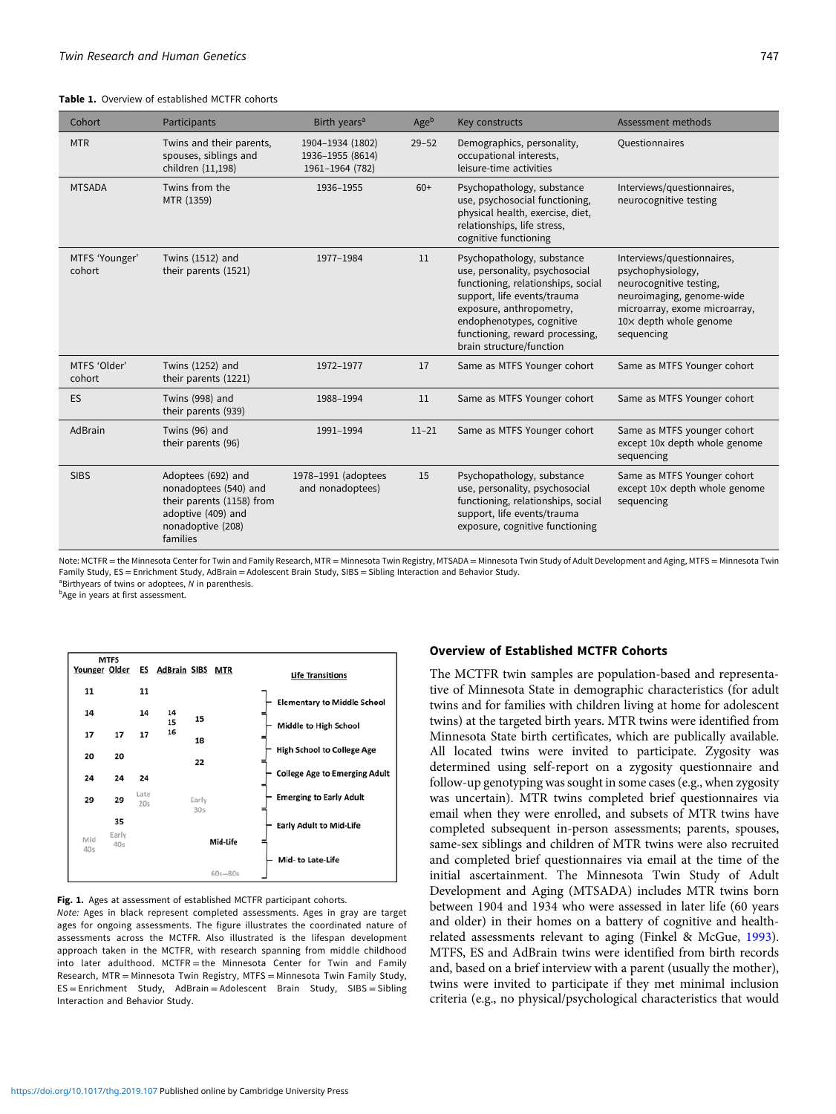#### <span id="page-1-0"></span>Table 1. Overview of established MCTFR cohorts

| Cohort                   | Participants                                                                                                                    | Birth years <sup>a</sup>                                | Ageb      | Key constructs                                                                                                                                                                                                                                            | Assessment methods                                                                                                                                                               |
|--------------------------|---------------------------------------------------------------------------------------------------------------------------------|---------------------------------------------------------|-----------|-----------------------------------------------------------------------------------------------------------------------------------------------------------------------------------------------------------------------------------------------------------|----------------------------------------------------------------------------------------------------------------------------------------------------------------------------------|
| <b>MTR</b>               | Twins and their parents,<br>spouses, siblings and<br>children (11,198)                                                          | 1904-1934 (1802)<br>1936-1955 (8614)<br>1961-1964 (782) | $29 - 52$ | Demographics, personality,<br>occupational interests,<br>leisure-time activities                                                                                                                                                                          | Questionnaires                                                                                                                                                                   |
| <b>MTSADA</b>            | Twins from the<br>MTR (1359)                                                                                                    | 1936-1955                                               | $60+$     | Psychopathology, substance<br>use, psychosocial functioning,<br>physical health, exercise, diet,<br>relationships, life stress,<br>cognitive functioning                                                                                                  | Interviews/questionnaires,<br>neurocognitive testing                                                                                                                             |
| MTFS 'Younger'<br>cohort | Twins (1512) and<br>their parents (1521)                                                                                        | 1977-1984                                               | 11        | Psychopathology, substance<br>use, personality, psychosocial<br>functioning, relationships, social<br>support, life events/trauma<br>exposure, anthropometry,<br>endophenotypes, cognitive<br>functioning, reward processing,<br>brain structure/function | Interviews/questionnaires,<br>psychophysiology,<br>neurocognitive testing,<br>neuroimaging, genome-wide<br>microarray, exome microarray,<br>10x depth whole genome<br>sequencing |
| MTFS 'Older'<br>cohort   | Twins (1252) and<br>their parents (1221)                                                                                        | 1972-1977                                               | 17        | Same as MTFS Younger cohort                                                                                                                                                                                                                               | Same as MTFS Younger cohort                                                                                                                                                      |
| ES                       | Twins (998) and<br>their parents (939)                                                                                          | 1988-1994                                               | 11        | Same as MTFS Younger cohort                                                                                                                                                                                                                               | Same as MTFS Younger cohort                                                                                                                                                      |
| AdBrain                  | Twins (96) and<br>their parents (96)                                                                                            | 1991-1994                                               | $11 - 21$ | Same as MTFS Younger cohort                                                                                                                                                                                                                               | Same as MTFS younger cohort<br>except 10x depth whole genome<br>sequencing                                                                                                       |
| <b>SIBS</b>              | Adoptees (692) and<br>nonadoptees (540) and<br>their parents (1158) from<br>adoptive (409) and<br>nonadoptive (208)<br>families | 1978-1991 (adoptees<br>and nonadoptees)                 | 15        | Psychopathology, substance<br>use, personality, psychosocial<br>functioning, relationships, social<br>support, life events/trauma<br>exposure, cognitive functioning                                                                                      | Same as MTFS Younger cohort<br>except 10x depth whole genome<br>sequencing                                                                                                       |

Note: MCTFR = the Minnesota Center for Twin and Family Research, MTR = Minnesota Twin Registry, MTSADA = Minnesota Twin Study of Adult Development and Aging, MTFS = Minnesota Twin Family Study, ES = Enrichment Study, AdBrain = Adolescent Brain Study, SIBS = Sibling Interaction and Behavior Study.

<sup>a</sup>Birthyears of twins or adoptees, N in parenthesis.

bAge in years at first assessment.



#### Fig. 1. Ages at assessment of established MCTFR participant cohorts.

Note: Ages in black represent completed assessments. Ages in gray are target ages for ongoing assessments. The figure illustrates the coordinated nature of assessments across the MCTFR. Also illustrated is the lifespan development approach taken in the MCTFR, with research spanning from middle childhood  $int_0$  later adulthood. MCTFR = the Minnesota Center for Twin and Family Research, MTR = Minnesota Twin Registry, MTFS = Minnesota Twin Family Study, ES = Enrichment Study, AdBrain = Adolescent Brain Study, SIBS = Sibling Interaction and Behavior Study.

#### Overview of Established MCTFR Cohorts

The MCTFR twin samples are population-based and representative of Minnesota State in demographic characteristics (for adult twins and for families with children living at home for adolescent twins) at the targeted birth years. MTR twins were identified from Minnesota State birth certificates, which are publically available. All located twins were invited to participate. Zygosity was determined using self-report on a zygosity questionnaire and follow-up genotyping was sought in some cases (e.g., when zygosity was uncertain). MTR twins completed brief questionnaires via email when they were enrolled, and subsets of MTR twins have completed subsequent in-person assessments; parents, spouses, same-sex siblings and children of MTR twins were also recruited and completed brief questionnaires via email at the time of the initial ascertainment. The Minnesota Twin Study of Adult Development and Aging (MTSADA) includes MTR twins born between 1904 and 1934 who were assessed in later life (60 years and older) in their homes on a battery of cognitive and healthrelated assessments relevant to aging (Finkel & McGue, [1993\)](#page-5-0). MTFS, ES and AdBrain twins were identified from birth records and, based on a brief interview with a parent (usually the mother), twins were invited to participate if they met minimal inclusion criteria (e.g., no physical/psychological characteristics that would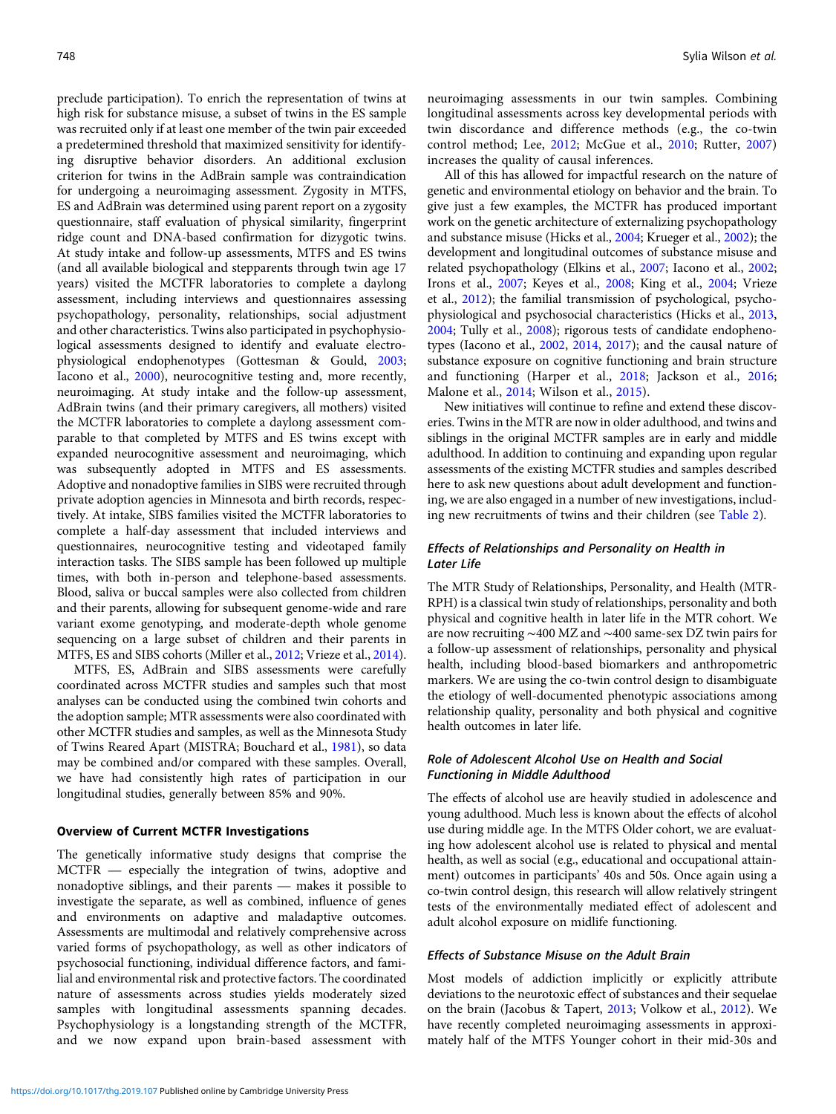preclude participation). To enrich the representation of twins at high risk for substance misuse, a subset of twins in the ES sample was recruited only if at least one member of the twin pair exceeded a predetermined threshold that maximized sensitivity for identifying disruptive behavior disorders. An additional exclusion criterion for twins in the AdBrain sample was contraindication for undergoing a neuroimaging assessment. Zygosity in MTFS, ES and AdBrain was determined using parent report on a zygosity questionnaire, staff evaluation of physical similarity, fingerprint ridge count and DNA-based confirmation for dizygotic twins. At study intake and follow-up assessments, MTFS and ES twins (and all available biological and stepparents through twin age 17 years) visited the MCTFR laboratories to complete a daylong assessment, including interviews and questionnaires assessing psychopathology, personality, relationships, social adjustment and other characteristics. Twins also participated in psychophysiological assessments designed to identify and evaluate electrophysiological endophenotypes (Gottesman & Gould, [2003](#page-5-0); Iacono et al., [2000](#page-5-0)), neurocognitive testing and, more recently, neuroimaging. At study intake and the follow-up assessment, AdBrain twins (and their primary caregivers, all mothers) visited the MCTFR laboratories to complete a daylong assessment comparable to that completed by MTFS and ES twins except with expanded neurocognitive assessment and neuroimaging, which was subsequently adopted in MTFS and ES assessments. Adoptive and nonadoptive families in SIBS were recruited through private adoption agencies in Minnesota and birth records, respectively. At intake, SIBS families visited the MCTFR laboratories to complete a half-day assessment that included interviews and questionnaires, neurocognitive testing and videotaped family interaction tasks. The SIBS sample has been followed up multiple times, with both in-person and telephone-based assessments. Blood, saliva or buccal samples were also collected from children and their parents, allowing for subsequent genome-wide and rare variant exome genotyping, and moderate-depth whole genome sequencing on a large subset of children and their parents in MTFS, ES and SIBS cohorts (Miller et al., [2012](#page-5-0); Vrieze et al., [2014](#page-5-0)).

MTFS, ES, AdBrain and SIBS assessments were carefully coordinated across MCTFR studies and samples such that most analyses can be conducted using the combined twin cohorts and the adoption sample; MTR assessments were also coordinated with other MCTFR studies and samples, as well as the Minnesota Study of Twins Reared Apart (MISTRA; Bouchard et al., [1981](#page-4-0)), so data may be combined and/or compared with these samples. Overall, we have had consistently high rates of participation in our longitudinal studies, generally between 85% and 90%.

#### Overview of Current MCTFR Investigations

The genetically informative study designs that comprise the **Overview of Current MCTFR Investigations**<br>The genetically informative study designs that comprise the<br>MCTFR — especially the integration of twins, adoptive and **Overview of Current MCTFR Investigations**<br>The genetically informative study designs that comprise the<br>MCTFR — especially the integration of twins, adoptive and<br>nonadoptive siblings, and their parents — makes it possible t investigate the separate, as well as combined, influence of genes and environments on adaptive and maladaptive outcomes. Assessments are multimodal and relatively comprehensive across varied forms of psychopathology, as well as other indicators of psychosocial functioning, individual difference factors, and familial and environmental risk and protective factors. The coordinated nature of assessments across studies yields moderately sized samples with longitudinal assessments spanning decades. Psychophysiology is a longstanding strength of the MCTFR, and we now expand upon brain-based assessment with

neuroimaging assessments in our twin samples. Combining longitudinal assessments across key developmental periods with twin discordance and difference methods (e.g., the co-twin control method; Lee, [2012;](#page-5-0) McGue et al., [2010;](#page-5-0) Rutter, [2007](#page-5-0)) increases the quality of causal inferences.

All of this has allowed for impactful research on the nature of genetic and environmental etiology on behavior and the brain. To give just a few examples, the MCTFR has produced important work on the genetic architecture of externalizing psychopathology and substance misuse (Hicks et al., [2004](#page-5-0); Krueger et al., [2002\)](#page-5-0); the development and longitudinal outcomes of substance misuse and related psychopathology (Elkins et al., [2007](#page-5-0); Iacono et al., [2002](#page-5-0); Irons et al., [2007;](#page-5-0) Keyes et al., [2008;](#page-5-0) King et al., [2004;](#page-5-0) Vrieze et al., [2012](#page-5-0)); the familial transmission of psychological, psychophysiological and psychosocial characteristics (Hicks et al., [2013](#page-5-0), [2004;](#page-5-0) Tully et al., [2008](#page-5-0)); rigorous tests of candidate endophenotypes (Iacono et al., [2002,](#page-5-0) [2014](#page-5-0), [2017\)](#page-5-0); and the causal nature of substance exposure on cognitive functioning and brain structure and functioning (Harper et al., [2018](#page-5-0); Jackson et al., [2016](#page-5-0); Malone et al., [2014](#page-5-0); Wilson et al., [2015\)](#page-6-0).

New initiatives will continue to refine and extend these discoveries. Twins in the MTR are now in older adulthood, and twins and siblings in the original MCTFR samples are in early and middle adulthood. In addition to continuing and expanding upon regular assessments of the existing MCTFR studies and samples described here to ask new questions about adult development and functioning, we are also engaged in a number of new investigations, including new recruitments of twins and their children (see [Table 2\)](#page-3-0).

# Effects of Relationships and Personality on Health in Later Life

The MTR Study of Relationships, Personality, and Health (MTR-RPH) is a classical twin study of relationships, personality and both physical and cognitive health in later life in the MTR cohort. We are now recruiting ∼400 MZ and ∼400 same-sex DZ twin pairs for a follow-up assessment of relationships, personality and physical health, including blood-based biomarkers and anthropometric markers. We are using the co-twin control design to disambiguate the etiology of well-documented phenotypic associations among relationship quality, personality and both physical and cognitive health outcomes in later life.

# Role of Adolescent Alcohol Use on Health and Social Functioning in Middle Adulthood

The effects of alcohol use are heavily studied in adolescence and young adulthood. Much less is known about the effects of alcohol use during middle age. In the MTFS Older cohort, we are evaluating how adolescent alcohol use is related to physical and mental health, as well as social (e.g., educational and occupational attainment) outcomes in participants' 40s and 50s. Once again using a co-twin control design, this research will allow relatively stringent tests of the environmentally mediated effect of adolescent and adult alcohol exposure on midlife functioning.

#### Effects of Substance Misuse on the Adult Brain

Most models of addiction implicitly or explicitly attribute deviations to the neurotoxic effect of substances and their sequelae on the brain (Jacobus & Tapert, [2013;](#page-5-0) Volkow et al., [2012\)](#page-5-0). We have recently completed neuroimaging assessments in approximately half of the MTFS Younger cohort in their mid-30s and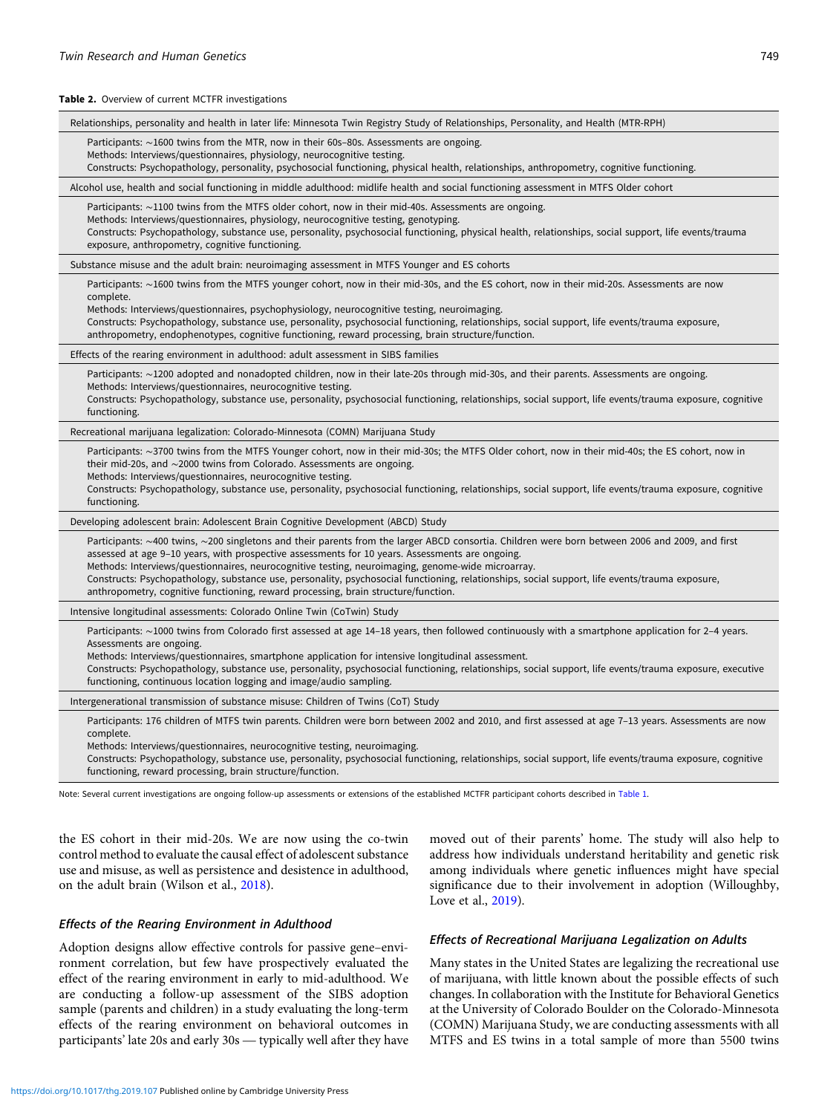#### <span id="page-3-0"></span>Table 2. Overview of current MCTFR investigations

| Relationships, personality and health in later life: Minnesota Twin Registry Study of Relationships, Personality, and Health (MTR-RPH)                                                                                                                                                                                                                                                                                                                                                                                                                                                          |
|-------------------------------------------------------------------------------------------------------------------------------------------------------------------------------------------------------------------------------------------------------------------------------------------------------------------------------------------------------------------------------------------------------------------------------------------------------------------------------------------------------------------------------------------------------------------------------------------------|
| Participants: $\sim$ 1600 twins from the MTR, now in their 60s-80s. Assessments are ongoing.<br>Methods: Interviews/questionnaires, physiology, neurocognitive testing.<br>Constructs: Psychopathology, personality, psychosocial functioning, physical health, relationships, anthropometry, cognitive functioning.                                                                                                                                                                                                                                                                            |
| Alcohol use, health and social functioning in middle adulthood: midlife health and social functioning assessment in MTFS Older cohort                                                                                                                                                                                                                                                                                                                                                                                                                                                           |
| Participants: ~1100 twins from the MTFS older cohort, now in their mid-40s. Assessments are ongoing.<br>Methods: Interviews/questionnaires, physiology, neurocognitive testing, genotyping.<br>Constructs: Psychopathology, substance use, personality, psychosocial functioning, physical health, relationships, social support, life events/trauma<br>exposure, anthropometry, cognitive functioning.                                                                                                                                                                                         |
| Substance misuse and the adult brain: neuroimaging assessment in MTFS Younger and ES cohorts                                                                                                                                                                                                                                                                                                                                                                                                                                                                                                    |
| Participants: ~1600 twins from the MTFS younger cohort, now in their mid-30s, and the ES cohort, now in their mid-20s. Assessments are now<br>complete.<br>Methods: Interviews/questionnaires, psychophysiology, neurocognitive testing, neuroimaging.<br>Constructs: Psychopathology, substance use, personality, psychosocial functioning, relationships, social support, life events/trauma exposure,<br>anthropometry, endophenotypes, cognitive functioning, reward processing, brain structure/function.                                                                                  |
| Effects of the rearing environment in adulthood: adult assessment in SIBS families                                                                                                                                                                                                                                                                                                                                                                                                                                                                                                              |
| Participants: ~1200 adopted and nonadopted children, now in their late-20s through mid-30s, and their parents. Assessments are ongoing.<br>Methods: Interviews/questionnaires, neurocognitive testing.<br>Constructs: Psychopathology, substance use, personality, psychosocial functioning, relationships, social support, life events/trauma exposure, cognitive<br>functioning.                                                                                                                                                                                                              |
| Recreational marijuana legalization: Colorado-Minnesota (COMN) Marijuana Study                                                                                                                                                                                                                                                                                                                                                                                                                                                                                                                  |
| Participants: ~3700 twins from the MTFS Younger cohort, now in their mid-30s; the MTFS Older cohort, now in their mid-40s; the ES cohort, now in<br>their mid-20s, and $\sim$ 2000 twins from Colorado. Assessments are ongoing.<br>Methods: Interviews/questionnaires, neurocognitive testing.<br>Constructs: Psychopathology, substance use, personality, psychosocial functioning, relationships, social support, life events/trauma exposure, cognitive<br>functioning.                                                                                                                     |
| Developing adolescent brain: Adolescent Brain Cognitive Development (ABCD) Study                                                                                                                                                                                                                                                                                                                                                                                                                                                                                                                |
| Participants: ~400 twins, ~200 singletons and their parents from the larger ABCD consortia. Children were born between 2006 and 2009, and first<br>assessed at age 9-10 years, with prospective assessments for 10 years. Assessments are ongoing.<br>Methods: Interviews/questionnaires, neurocognitive testing, neuroimaging, genome-wide microarray.<br>Constructs: Psychopathology, substance use, personality, psychosocial functioning, relationships, social support, life events/trauma exposure,<br>anthropometry, cognitive functioning, reward processing, brain structure/function. |
| Intensive longitudinal assessments: Colorado Online Twin (CoTwin) Study                                                                                                                                                                                                                                                                                                                                                                                                                                                                                                                         |
| Participants: ~1000 twins from Colorado first assessed at age 14-18 years, then followed continuously with a smartphone application for 2-4 years.<br>Assessments are ongoing.<br>Methods: Interviews/questionnaires, smartphone application for intensive longitudinal assessment.<br>Constructs: Psychopathology, substance use, personality, psychosocial functioning, relationships, social support, life events/trauma exposure, executive<br>functioning, continuous location logging and image/audio sampling.                                                                           |
| Intergenerational transmission of substance misuse: Children of Twins (CoT) Study                                                                                                                                                                                                                                                                                                                                                                                                                                                                                                               |
| Participants: 176 children of MTFS twin parents. Children were born between 2002 and 2010, and first assessed at age 7-13 years. Assessments are now<br>complete.<br>Methods: Interviews/questionnaires, neurocognitive testing, neuroimaging.<br>Constructs: Psychopathology, substance use, personality, psychosocial functioning, relationships, social support, life events/trauma exposure, cognitive<br>functioning, reward processing, brain structure/function.                                                                                                                         |
| Note: Several current investigations are ongoing follow-up assessments or extensions of the established MCTFR participant cohorts described in Table 1.                                                                                                                                                                                                                                                                                                                                                                                                                                         |

the ES cohort in their mid-20s. We are now using the co-twin control method to evaluate the causal effect of adolescent substance use and misuse, as well as persistence and desistence in adulthood, on the adult brain (Wilson et al., [2018\)](#page-6-0).

#### Effects of the Rearing Environment in Adulthood

Adoption designs allow effective controls for passive gene–environment correlation, but few have prospectively evaluated the effect of the rearing environment in early to mid-adulthood. We enect of the rearing environment in early to mid-adulthood. We<br>are conducting a follow-up assessment of the SIBS adoption<br>sample (parents and children) in a study evaluating the long-term<br>effects of the rearing environment sample (parents and children) in a study evaluating the long-term effects of the rearing environment on behavioral outcomes in moved out of their parents' home. The study will also help to address how individuals understand heritability and genetic risk among individuals where genetic influences might have special significance due to their involvement in adoption (Willoughby, Love et al., [2019](#page-6-0)).

#### Effects of Recreational Marijuana Legalization on Adults

Many states in the United States are legalizing the recreational use of marijuana, with little known about the possible effects of such changes. In collaboration with the Institute for Behavioral Genetics at the University of Colorado Boulder on the Colorado-Minnesota (COMN) Marijuana Study, we are conducting assessments with all MTFS and ES twins in a total sample of more than 5500 twins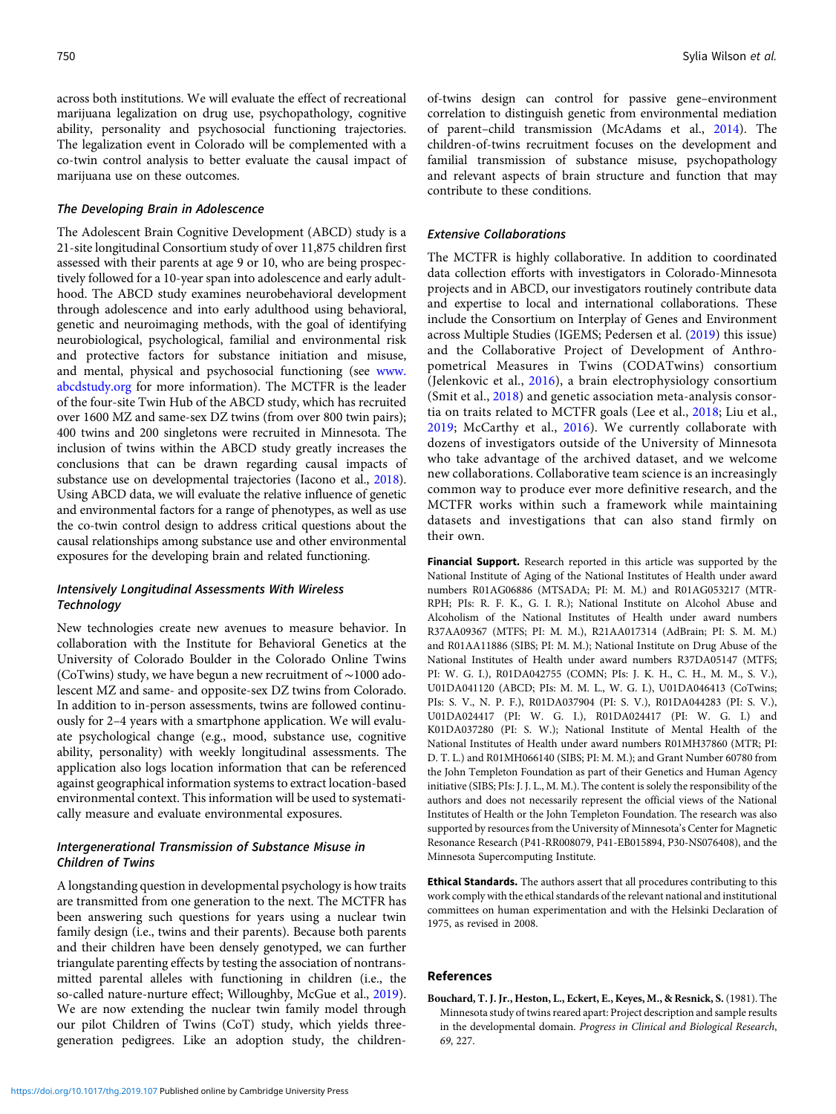<span id="page-4-0"></span>across both institutions. We will evaluate the effect of recreational marijuana legalization on drug use, psychopathology, cognitive ability, personality and psychosocial functioning trajectories. The legalization event in Colorado will be complemented with a co-twin control analysis to better evaluate the causal impact of marijuana use on these outcomes.

#### The Developing Brain in Adolescence

The Adolescent Brain Cognitive Development (ABCD) study is a 21-site longitudinal Consortium study of over 11,875 children first assessed with their parents at age 9 or 10, who are being prospectively followed for a 10-year span into adolescence and early adulthood. The ABCD study examines neurobehavioral development through adolescence and into early adulthood using behavioral, genetic and neuroimaging methods, with the goal of identifying neurobiological, psychological, familial and environmental risk and protective factors for substance initiation and misuse, and mental, physical and psychosocial functioning (see [www.](http://www.abcdstudy.org) [abcdstudy.org](http://www.abcdstudy.org) for more information). The MCTFR is the leader of the four-site Twin Hub of the ABCD study, which has recruited over 1600 MZ and same-sex DZ twins (from over 800 twin pairs); 400 twins and 200 singletons were recruited in Minnesota. The inclusion of twins within the ABCD study greatly increases the conclusions that can be drawn regarding causal impacts of substance use on developmental trajectories (Iacono et al., [2018](#page-5-0)). Using ABCD data, we will evaluate the relative influence of genetic and environmental factors for a range of phenotypes, as well as use the co-twin control design to address critical questions about the causal relationships among substance use and other environmental exposures for the developing brain and related functioning.

# Intensively Longitudinal Assessments With Wireless **Technology**

New technologies create new avenues to measure behavior. In collaboration with the Institute for Behavioral Genetics at the University of Colorado Boulder in the Colorado Online Twins (CoTwins) study, we have begun a new recruitment of ∼1000 adolescent MZ and same- and opposite-sex DZ twins from Colorado. In addition to in-person assessments, twins are followed continuously for 2–4 years with a smartphone application. We will evaluate psychological change (e.g., mood, substance use, cognitive ability, personality) with weekly longitudinal assessments. The application also logs location information that can be referenced against geographical information systems to extract location-based environmental context. This information will be used to systematically measure and evaluate environmental exposures.

## Intergenerational Transmission of Substance Misuse in Children of Twins

A longstanding question in developmental psychology is how traits are transmitted from one generation to the next. The MCTFR has been answering such questions for years using a nuclear twin family design (i.e., twins and their parents). Because both parents and their children have been densely genotyped, we can further triangulate parenting effects by testing the association of nontransmitted parental alleles with functioning in children (i.e., the so-called nature-nurture effect; Willoughby, McGue et al., [2019](#page-6-0)). We are now extending the nuclear twin family model through our pilot Children of Twins (CoT) study, which yields threegeneration pedigrees. Like an adoption study, the childrenof-twins design can control for passive gene–environment correlation to distinguish genetic from environmental mediation of parent–child transmission (McAdams et al., [2014\)](#page-5-0). The children-of-twins recruitment focuses on the development and familial transmission of substance misuse, psychopathology and relevant aspects of brain structure and function that may contribute to these conditions.

#### Extensive Collaborations

The MCTFR is highly collaborative. In addition to coordinated data collection efforts with investigators in Colorado-Minnesota projects and in ABCD, our investigators routinely contribute data and expertise to local and international collaborations. These include the Consortium on Interplay of Genes and Environment across Multiple Studies (IGEMS; Pedersen et al. [\(2019\)](#page-5-0) this issue) and the Collaborative Project of Development of Anthropometrical Measures in Twins (CODATwins) consortium (Jelenkovic et al., [2016\)](#page-5-0), a brain electrophysiology consortium (Smit et al., [2018\)](#page-5-0) and genetic association meta-analysis consortia on traits related to MCTFR goals (Lee et al., [2018](#page-5-0); Liu et al., [2019](#page-5-0); McCarthy et al., [2016](#page-5-0)). We currently collaborate with dozens of investigators outside of the University of Minnesota who take advantage of the archived dataset, and we welcome new collaborations. Collaborative team science is an increasingly common way to produce ever more definitive research, and the MCTFR works within such a framework while maintaining datasets and investigations that can also stand firmly on their own.

Financial Support. Research reported in this article was supported by the National Institute of Aging of the National Institutes of Health under award numbers R01AG06886 (MTSADA; PI: M. M.) and R01AG053217 (MTR-RPH; PIs: R. F. K., G. I. R.); National Institute on Alcohol Abuse and Alcoholism of the National Institutes of Health under award numbers R37AA09367 (MTFS; PI: M. M.), R21AA017314 (AdBrain; PI: S. M. M.) and R01AA11886 (SIBS; PI: M. M.); National Institute on Drug Abuse of the National Institutes of Health under award numbers R37DA05147 (MTFS; PI: W. G. I.), R01DA042755 (COMN; PIs: J. K. H., C. H., M. M., S. V.), U01DA041120 (ABCD; PIs: M. M. L., W. G. I.), U01DA046413 (CoTwins; PIs: S. V., N. P. F.), R01DA037904 (PI: S. V.), R01DA044283 (PI: S. V.), U01DA024417 (PI: W. G. I.), R01DA024417 (PI: W. G. I.) and K01DA037280 (PI: S. W.); National Institute of Mental Health of the National Institutes of Health under award numbers R01MH37860 (MTR; PI: D. T. L.) and R01MH066140 (SIBS; PI: M. M.); and Grant Number 60780 from the John Templeton Foundation as part of their Genetics and Human Agency initiative (SIBS; PIs: J. J. L., M. M.). The content is solely the responsibility of the authors and does not necessarily represent the official views of the National Institutes of Health or the John Templeton Foundation. The research was also supported by resources from the University of Minnesota's Center for Magnetic Resonance Research (P41-RR008079, P41-EB015894, P30-NS076408), and the Minnesota Supercomputing Institute.

Ethical Standards. The authors assert that all procedures contributing to this work comply with the ethical standards of the relevant national and institutional committees on human experimentation and with the Helsinki Declaration of 1975, as revised in 2008.

#### References

Bouchard, T. J. Jr., Heston, L., Eckert, E., Keyes, M., & Resnick, S. (1981). The Minnesota study of twins reared apart: Project description and sample results in the developmental domain. Progress in Clinical and Biological Research, 69, 227.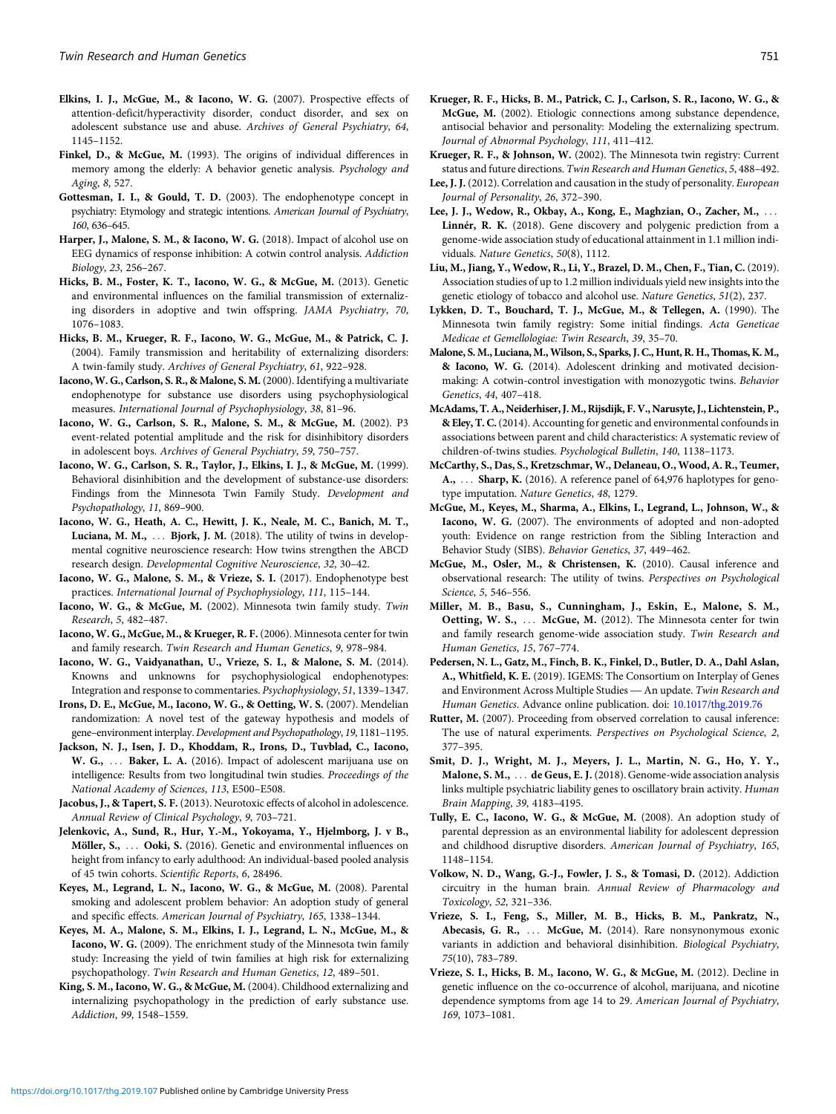- <span id="page-5-0"></span>Elkins, I. J., McGue, M., & Iacono, W. G. (2007). Prospective effects of attention-deficit/hyperactivity disorder, conduct disorder, and sex on adolescent substance use and abuse. Archives of General Psychiatry, 64, 1145–1152.
- Finkel, D., & McGue, M. (1993). The origins of individual differences in memory among the elderly: A behavior genetic analysis. Psychology and Aging, 8, 527.
- Gottesman, I. I., & Gould, T. D. (2003). The endophenotype concept in psychiatry: Etymology and strategic intentions. American Journal of Psychiatry, 160, 636–645.
- Harper, J., Malone, S. M., & Iacono, W. G. (2018). Impact of alcohol use on EEG dynamics of response inhibition: A cotwin control analysis. Addiction Biology, 23, 256–267.
- Hicks, B. M., Foster, K. T., Iacono, W. G., & McGue, M. (2013). Genetic and environmental influences on the familial transmission of externalizing disorders in adoptive and twin offspring. JAMA Psychiatry, 70, 1076–1083.
- Hicks, B. M., Krueger, R. F., Iacono, W. G., McGue, M., & Patrick, C. J. (2004). Family transmission and heritability of externalizing disorders: A twin-family study. Archives of General Psychiatry, 61, 922–928.
- Iacono,W. G., Carlson, S. R., & Malone, S. M.(2000). Identifying a multivariate endophenotype for substance use disorders using psychophysiological measures. International Journal of Psychophysiology, 38, 81–96.
- Iacono, W. G., Carlson, S. R., Malone, S. M., & McGue, M. (2002). P3 event-related potential amplitude and the risk for disinhibitory disorders in adolescent boys. Archives of General Psychiatry, 59, 750–757.
- Iacono, W. G., Carlson, S. R., Taylor, J., Elkins, I. J., & McGue, M. (1999). Behavioral disinhibition and the development of substance-use disorders: Findings from the Minnesota Twin Family Study. Development and Psychopathology, 11, 869–900.
- Iacono, W. G., Heath, A. C., Hewitt, J. K., Neale, M. C., Banich, M. T., Luciana, M. M., ... Bjork, J. M. (2018). The utility of twins in developmental cognitive neuroscience research: How twins strengthen the ABCD research design. Developmental Cognitive Neuroscience, 32, 30–42.
- Iacono, W. G., Malone, S. M., & Vrieze, S. I. (2017). Endophenotype best practices. International Journal of Psychophysiology, 111, 115–144.
- Iacono, W. G., & McGue, M. (2002). Minnesota twin family study. Twin Research, 5, 482–487.
- Iacono, W. G., McGue, M., & Krueger, R. F. (2006). Minnesota center for twin and family research. Twin Research and Human Genetics, 9, 978–984.
- Iacono, W. G., Vaidyanathan, U., Vrieze, S. I., & Malone, S. M. (2014). Knowns and unknowns for psychophysiological endophenotypes: Integration and response to commentaries. Psychophysiology, 51, 1339–1347.
- Irons, D. E., McGue, M., Iacono, W. G., & Oetting, W. S. (2007). Mendelian randomization: A novel test of the gateway hypothesis and models of gene–environment interplay.Development and Psychopathology, 19, 1181–1195.
- Jackson, N. J., Isen, J. D., Khoddam, R., Irons, D., Tuvblad, C., Iacono, W. G., ... Baker, L. A. (2016). Impact of adolescent marijuana use on intelligence: Results from two longitudinal twin studies. Proceedings of the National Academy of Sciences, 113, E500–E508.
- Jacobus, J., & Tapert, S. F. (2013). Neurotoxic effects of alcohol in adolescence. Annual Review of Clinical Psychology, 9, 703–721.
- Jelenkovic, A., Sund, R., Hur, Y.-M., Yokoyama, Y., Hjelmborg, J. v B., Möller, S., ... Ooki, S. (2016). Genetic and environmental influences on height from infancy to early adulthood: An individual-based pooled analysis of 45 twin cohorts. Scientific Reports, 6, 28496.
- Keyes, M., Legrand, L. N., Iacono, W. G., & McGue, M. (2008). Parental smoking and adolescent problem behavior: An adoption study of general and specific effects. American Journal of Psychiatry, 165, 1338–1344.
- Keyes, M. A., Malone, S. M., Elkins, I. J., Legrand, L. N., McGue, M., & Iacono, W. G. (2009). The enrichment study of the Minnesota twin family study: Increasing the yield of twin families at high risk for externalizing psychopathology. Twin Research and Human Genetics, 12, 489–501.
- King, S. M., Iacono, W. G., & McGue, M. (2004). Childhood externalizing and internalizing psychopathology in the prediction of early substance use. Addiction, 99, 1548–1559.
- Krueger, R. F., Hicks, B. M., Patrick, C. J., Carlson, S. R., Iacono, W. G., & McGue, M. (2002). Etiologic connections among substance dependence, antisocial behavior and personality: Modeling the externalizing spectrum. Journal of Abnormal Psychology, 111, 411–412.
- Krueger, R. F., & Johnson, W. (2002). The Minnesota twin registry: Current status and future directions. Twin Research and Human Genetics, 5, 488–492.
- Lee, J. J. (2012). Correlation and causation in the study of personality. European Journal of Personality, 26, 372–390.
- Lee, J. J., Wedow, R., Okbay, A., Kong, E., Maghzian, O., Zacher, M., ... Linnér, R. K. (2018). Gene discovery and polygenic prediction from a genome-wide association study of educational attainment in 1.1 million individuals. Nature Genetics, 50(8), 1112.
- Liu, M., Jiang, Y., Wedow, R., Li, Y., Brazel, D. M., Chen, F., Tian, C. (2019). Association studies of up to 1.2 million individuals yield new insights into the genetic etiology of tobacco and alcohol use. Nature Genetics, 51(2), 237.
- Lykken, D. T., Bouchard, T. J., McGue, M., & Tellegen, A. (1990). The Minnesota twin family registry: Some initial findings. Acta Geneticae Medicae et Gemellologiae: Twin Research, 39, 35–70.
- Malone, S. M., Luciana, M.,Wilson, S., Sparks, J. C., Hunt, R. H., Thomas, K. M., & Iacono, W. G. (2014). Adolescent drinking and motivated decisionmaking: A cotwin-control investigation with monozygotic twins. Behavior Genetics, 44, 407–418.
- McAdams, T. A., Neiderhiser, J. M., Rijsdijk, F. V., Narusyte, J., Lichtenstein, P., & Eley, T. C.(2014). Accounting for genetic and environmental confounds in associations between parent and child characteristics: A systematic review of children-of-twins studies. Psychological Bulletin, 140, 1138–1173.
- McCarthy, S., Das, S., Kretzschmar, W., Delaneau, O., Wood, A. R., Teumer, A., ... Sharp, K. (2016). A reference panel of 64,976 haplotypes for genotype imputation. Nature Genetics, 48, 1279.
- McGue, M., Keyes, M., Sharma, A., Elkins, I., Legrand, L., Johnson, W., & Iacono, W. G. (2007). The environments of adopted and non-adopted youth: Evidence on range restriction from the Sibling Interaction and Behavior Study (SIBS). Behavior Genetics, 37, 449–462.
- McGue, M., Osler, M., & Christensen, K. (2010). Causal inference and observational research: The utility of twins. Perspectives on Psychological Science, 5, 546–556.
- Miller, M. B., Basu, S., Cunningham, J., Eskin, E., Malone, S. M., Oetting, W. S., ... McGue, M. (2012). The Minnesota center for twin and family research genome-wide association study. Twin Research and Human Genetics, 15, 767–774.
- Pedersen, N. L., Gatz, M., Finch, B. K., Finkel, D., Butler, D. A., Dahl Aslan, A., Whitfield, K. E. (2019). IGEMS: The Consortium on Interplay of Genes Human Genetics, 15, 767-774.<br>dersen, N. L., Gatz, M., Finch, B. K., Finkel, D., Butler, D. A., Dahl Aslan,<br>A., Whitfield, K. E. (2019). IGEMS: The Consortium on Interplay of Genes<br>and Environment Across Multiple Studies — Human Genetics. Advance online publication. doi: [10.1017/thg.2019.76](https://doi.org/10.1017/thg.2019.76)
- Rutter, M. (2007). Proceeding from observed correlation to causal inference: The use of natural experiments. Perspectives on Psychological Science, 2, 377–395.
- Smit, D. J., Wright, M. J., Meyers, J. L., Martin, N. G., Ho, Y. Y., Malone, S. M., ... de Geus, E. J. (2018). Genome-wide association analysis links multiple psychiatric liability genes to oscillatory brain activity. Human Brain Mapping, 39, 4183–4195.
- Tully, E. C., Iacono, W. G., & McGue, M. (2008). An adoption study of parental depression as an environmental liability for adolescent depression and childhood disruptive disorders. American Journal of Psychiatry, 165, 1148–1154.
- Volkow, N. D., Wang, G.-J., Fowler, J. S., & Tomasi, D. (2012). Addiction circuitry in the human brain. Annual Review of Pharmacology and Toxicology, 52, 321–336.
- Vrieze, S. I., Feng, S., Miller, M. B., Hicks, B. M., Pankratz, N., Abecasis, G. R., ... McGue, M. (2014). Rare nonsynonymous exonic variants in addiction and behavioral disinhibition. Biological Psychiatry, 75(10), 783–789.
- Vrieze, S. I., Hicks, B. M., Iacono, W. G., & McGue, M. (2012). Decline in genetic influence on the co-occurrence of alcohol, marijuana, and nicotine dependence symptoms from age 14 to 29. American Journal of Psychiatry, 169, 1073–1081.